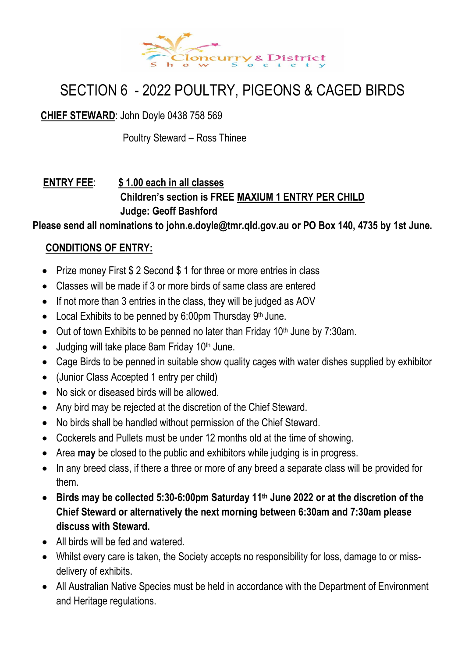

## SECTION 6 - 2022 POULTRY, PIGEONS & CAGED BIRDS

**CHIEF STEWARD**: John Doyle 0438 758 569

Poultry Steward – Ross Thinee

#### **ENTRY FEE**: **\$ 1.00 each in all classes Children's section is FREE MAXIUM 1 ENTRY PER CHILD Judge: Geoff Bashford**

**Please send all nominations to john.e.doyle@tmr.qld.gov.au or PO Box 140, 4735 by 1st June.**

#### **CONDITIONS OF ENTRY:**

- Prize money First \$ 2 Second \$ 1 for three or more entries in class
- Classes will be made if 3 or more birds of same class are entered
- If not more than 3 entries in the class, they will be judged as AOV
- Local Exhibits to be penned by 6:00pm Thursday 9<sup>th</sup> June.
- Out of town Exhibits to be penned no later than Friday 10<sup>th</sup> June by 7:30am.
- Judging will take place 8am Friday 10<sup>th</sup> June.
- Cage Birds to be penned in suitable show quality cages with water dishes supplied by exhibitor
- (Junior Class Accepted 1 entry per child)
- No sick or diseased birds will be allowed.
- Any bird may be rejected at the discretion of the Chief Steward.
- No birds shall be handled without permission of the Chief Steward.
- Cockerels and Pullets must be under 12 months old at the time of showing.
- Area **may** be closed to the public and exhibitors while judging is in progress.
- In any breed class, if there a three or more of any breed a separate class will be provided for them.
- **Birds may be collected 5:30-6:00pm Saturday 11 th June 2022 or at the discretion of the Chief Steward or alternatively the next morning between 6:30am and 7:30am please discuss with Steward.**
- All birds will be fed and watered.
- Whilst every care is taken, the Society accepts no responsibility for loss, damage to or missdelivery of exhibits.
- All Australian Native Species must be held in accordance with the Department of Environment and Heritage regulations.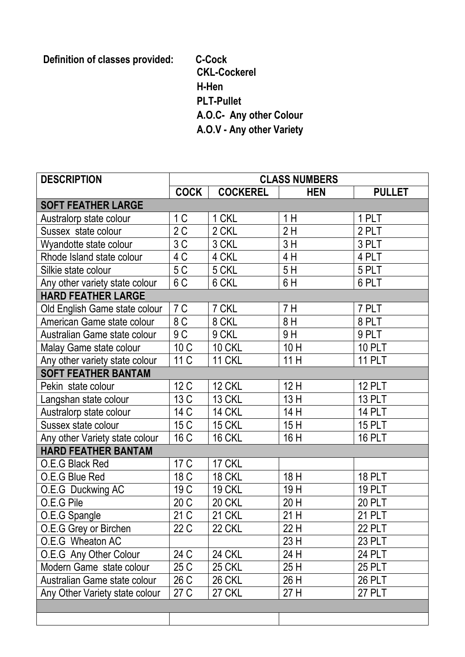**Definition of classes provided: C-Cock**

**CKL-Cockerel H-Hen PLT-Pullet A.O.C- Any other Colour A.O.V - Any other Variety**

| <b>DESCRIPTION</b>             | <b>CLASS NUMBERS</b> |                 |            |               |
|--------------------------------|----------------------|-----------------|------------|---------------|
|                                | <b>COCK</b>          | <b>COCKEREL</b> | <b>HEN</b> | <b>PULLET</b> |
| <b>SOFT FEATHER LARGE</b>      |                      |                 |            |               |
| Australorp state colour        | 1 <sup>C</sup>       | 1 CKL           | 1 H        | 1 PLT         |
| Sussex state colour            | $\overline{2}$ C     | 2 CKL           | 2H         | 2 PLT         |
| Wyandotte state colour         | 3C                   | 3 CKL           | 3H         | 3 PLT         |
| Rhode Island state colour      | 4C                   | 4 CKL           | 4 H        | 4 PLT         |
| Silkie state colour            | 5 C                  | 5 CKL           | 5H         | 5 PLT         |
| Any other variety state colour | 6C                   | 6 CKL           | 6H         | 6 PLT         |
| <b>HARD FEATHER LARGE</b>      |                      |                 |            |               |
| Old English Game state colour  | 7C                   | 7 CKL           | 7H         | 7 PLT         |
| American Game state colour     | 8C                   | 8 CKL           | 8H         | 8 PLT         |
| Australian Game state colour   | 9C                   | 9 CKL           | 9H         | 9 PLT         |
| Malay Game state colour        | 10 C                 | <b>10 CKL</b>   | 10H        | <b>10 PLT</b> |
| Any other variety state colour | 11 C                 | <b>11 CKL</b>   | 11H        | <b>11 PLT</b> |
| <b>SOFT FEATHER BANTAM</b>     |                      |                 |            |               |
| Pekin state colour             | 12 C                 | <b>12 CKL</b>   | 12H        | <b>12 PLT</b> |
| Langshan state colour          | 13 C                 | <b>13 CKL</b>   | 13H        | <b>13 PLT</b> |
| Australorp state colour        | 14 C                 | <b>14 CKL</b>   | 14 H       | <b>14 PLT</b> |
| Sussex state colour            | 15 C                 | 15 CKL          | 15H        | <b>15 PLT</b> |
| Any other Variety state colour | 16 C                 | 16 CKL          | 16 H       | <b>16 PLT</b> |
| <b>HARD FEATHER BANTAM</b>     |                      |                 |            |               |
| O.E.G Black Red                | 17 C                 | 17 CKL          |            |               |
| O.E.G Blue Red                 | 18 C                 | 18 CKL          | 18 H       | <b>18 PLT</b> |
| O.E.G Duckwing AC              | 19 C                 | <b>19 CKL</b>   | 19H        | <b>19 PLT</b> |
| O.E.G Pile                     | 20 C                 | 20 CKL          | 20 H       | <b>20 PLT</b> |
| O.E.G Spangle                  | 21 C                 | 21 CKL          | 21 H       | <b>21 PLT</b> |
| O.E.G Grey or Birchen          | 22 C                 | <b>22 CKL</b>   | 22 H       | <b>22 PLT</b> |
| O.E.G Wheaton AC               |                      |                 | 23 H       | 23 PLT        |
| O.E.G Any Other Colour         | 24 C                 | <b>24 CKL</b>   | 24 H       | <b>24 PLT</b> |
| Modern Game state colour       | 25 C                 | <b>25 CKL</b>   | 25 H       | <b>25 PLT</b> |
| Australian Game state colour   | 26 C                 | <b>26 CKL</b>   | 26 H       | <b>26 PLT</b> |
| Any Other Variety state colour | 27 C                 | <b>27 CKL</b>   | 27 H       | <b>27 PLT</b> |
|                                |                      |                 |            |               |
|                                |                      |                 |            |               |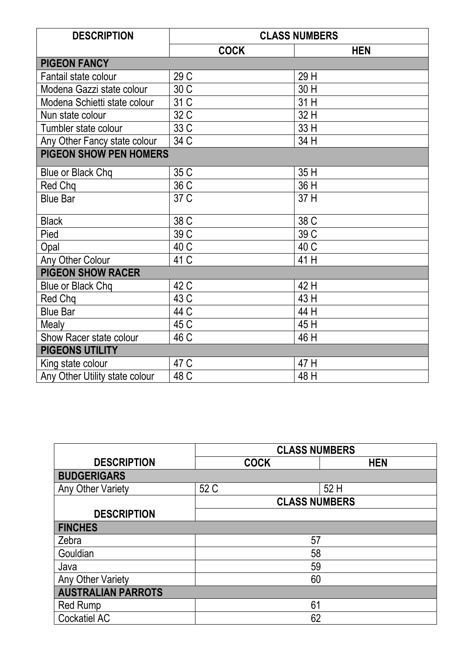| <b>DESCRIPTION</b>             | <b>CLASS NUMBERS</b> |            |  |
|--------------------------------|----------------------|------------|--|
|                                | <b>COCK</b>          | <b>HEN</b> |  |
| <b>PIGEON FANCY</b>            |                      |            |  |
| Fantail state colour           | 29 C                 | 29 H       |  |
| Modena Gazzi state colour      | 30 C                 | 30 H       |  |
| Modena Schietti state colour   | 31 C                 | 31 H       |  |
| Nun state colour               | 32 C                 | 32 H       |  |
| Tumbler state colour           | 33 C                 | 33 H       |  |
| Any Other Fancy state colour   | 34 C                 | 34 H       |  |
| <b>PIGEON SHOW PEN HOMERS</b>  |                      |            |  |
| Blue or Black Chq              | 35 C                 | 35 H       |  |
| Red Chq                        | 36 C                 | 36 H       |  |
| <b>Blue Bar</b>                | 37 C                 | 37 H       |  |
| <b>Black</b>                   | 38 C                 | 38 C       |  |
| Pied                           | 39 C                 | 39 C       |  |
| Opal                           | 40 C                 | 40 C       |  |
| Any Other Colour               | 41 C                 | 41 H       |  |
| <b>PIGEON SHOW RACER</b>       |                      |            |  |
| <b>Blue or Black Chq</b>       | 42 C                 | 42 H       |  |
| Red Chq                        | 43 C                 | 43 H       |  |
| <b>Blue Bar</b>                | 44 C                 | 44 H       |  |
| Mealy                          | 45 C                 | 45 H       |  |
| Show Racer state colour        | 46 C                 | 46 H       |  |
| <b>PIGEONS UTILITY</b>         |                      |            |  |
| King state colour              | 47 C                 | 47 H       |  |
| Any Other Utility state colour | 48 C                 | 48 H       |  |

|                           | <b>CLASS NUMBERS</b> |            |  |
|---------------------------|----------------------|------------|--|
| <b>DESCRIPTION</b>        | <b>COCK</b>          | <b>HEN</b> |  |
| <b>BUDGERIGARS</b>        |                      |            |  |
| Any Other Variety         | 52 C                 | 52 H       |  |
|                           | <b>CLASS NUMBERS</b> |            |  |
| <b>DESCRIPTION</b>        |                      |            |  |
| <b>FINCHES</b>            |                      |            |  |
| Zebra                     | 57                   |            |  |
| Gouldian                  | 58                   |            |  |
| Java                      | 59                   |            |  |
| Any Other Variety         | 60                   |            |  |
| <b>AUSTRALIAN PARROTS</b> |                      |            |  |
| <b>Red Rump</b>           | 61                   |            |  |
| <b>Cockatiel AC</b>       | 62                   |            |  |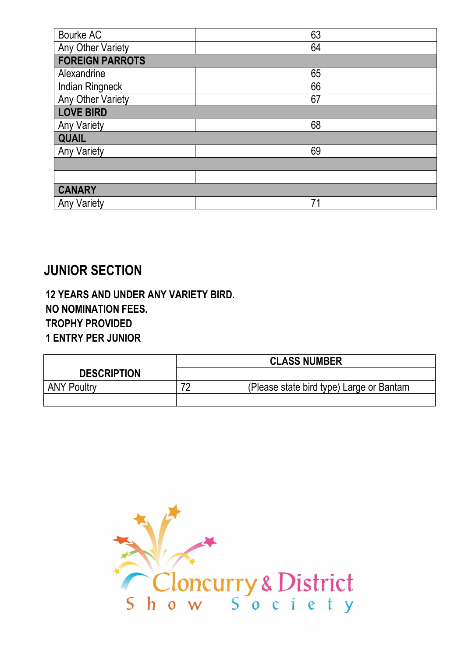| Bourke AC              | 63 |  |  |
|------------------------|----|--|--|
| Any Other Variety      | 64 |  |  |
| <b>FOREIGN PARROTS</b> |    |  |  |
| Alexandrine            | 65 |  |  |
| <b>Indian Ringneck</b> | 66 |  |  |
| Any Other Variety      | 67 |  |  |
| <b>LOVE BIRD</b>       |    |  |  |
| <b>Any Variety</b>     | 68 |  |  |
| <b>QUAIL</b>           |    |  |  |
| <b>Any Variety</b>     | 69 |  |  |
|                        |    |  |  |
|                        |    |  |  |
| <b>CANARY</b>          |    |  |  |
| <b>Any Variety</b>     | 71 |  |  |

## **JUNIOR SECTION**

 **12 YEARS AND UNDER ANY VARIETY BIRD. NO NOMINATION FEES. TROPHY PROVIDED 1 ENTRY PER JUNIOR**

|                    | <b>CLASS NUMBER</b>                            |  |
|--------------------|------------------------------------------------|--|
| <b>DESCRIPTION</b> |                                                |  |
| <b>ANY Poultry</b> | 70<br>(Please state bird type) Large or Bantam |  |
|                    |                                                |  |

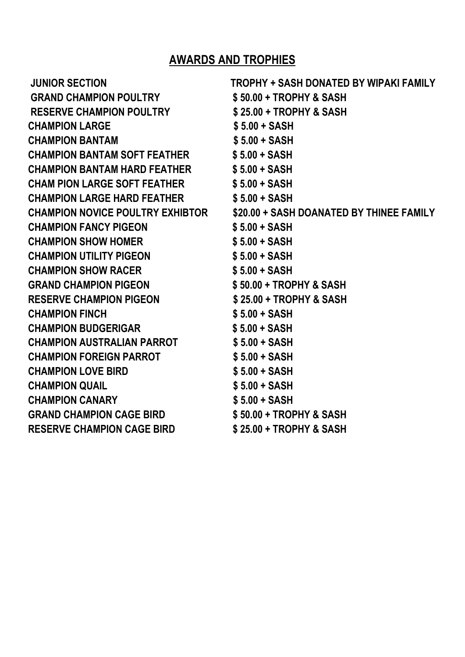### **AWARDS AND TROPHIES**

| <b>JUNIOR SECTION</b>               | TROPHY + SASH DONATED BY WIPAKI FAMILY                                    |
|-------------------------------------|---------------------------------------------------------------------------|
| <b>GRAND CHAMPION POULTRY</b>       | \$50.00 + TROPHY & SASH                                                   |
| <b>RESERVE CHAMPION POULTRY</b>     | $$25.00 + TROPHY & SASH$                                                  |
| <b>CHAMPION LARGE</b>               | $$5.00 + SASH$                                                            |
| <b>CHAMPION BANTAM</b>              | $$5.00 + SASH$                                                            |
| CHAMPION BANTAM SOFT FEATHER        | $$5.00 + SASH$                                                            |
| <b>CHAMPION BANTAM HARD FEATHER</b> | \$ 5.00 + SASH                                                            |
| <b>CHAM PION LARGE SOFT FEATHER</b> | $$5.00 + SASH$                                                            |
| <b>CHAMPION LARGE HARD FEATHER</b>  | $$5.00 + SASH$                                                            |
|                                     | CHAMPION NOVICE POULTRY EXHIBTOR \$20.00 + SASH DOANATED BY THINEE FAMILY |
| <b>CHAMPION FANCY PIGEON</b>        | $$5.00 + SASH$                                                            |
| <b>CHAMPION SHOW HOMER</b>          | $$5.00 + SASH$                                                            |
| <b>CHAMPION UTILITY PIGEON</b>      | $$5.00 + SASH$                                                            |
| <b>CHAMPION SHOW RACER</b>          | $$5.00 + SASH$                                                            |
| <b>GRAND CHAMPION PIGEON</b>        | $$50.00 + TROPHY & SASH$                                                  |
| <b>RESERVE CHAMPION PIGEON</b>      | $$25.00 + TROPHY & SASH$                                                  |
| <b>CHAMPION FINCH</b>               | $$5.00 + SASH$                                                            |
| <b>CHAMPION BUDGERIGAR</b>          | $$5.00 + SASH$                                                            |
| <b>CHAMPION AUSTRALIAN PARROT</b>   | \$ 5.00 + SASH                                                            |
| <b>CHAMPION FOREIGN PARROT</b>      | $$5.00 + SASH$                                                            |
| <b>CHAMPION LOVE BIRD</b>           | $$5.00 + SASH$                                                            |
| <b>CHAMPION QUAIL</b>               | $$5.00 + SASH$                                                            |
| <b>CHAMPION CANARY</b>              | $$5.00 + SASH$                                                            |
| <b>GRAND CHAMPION CAGE BIRD</b>     | \$50.00 + TROPHY & SASH                                                   |
| <b>RESERVE CHAMPION CAGE BIRD</b>   | \$25.00 + TROPHY & SASH                                                   |
|                                     |                                                                           |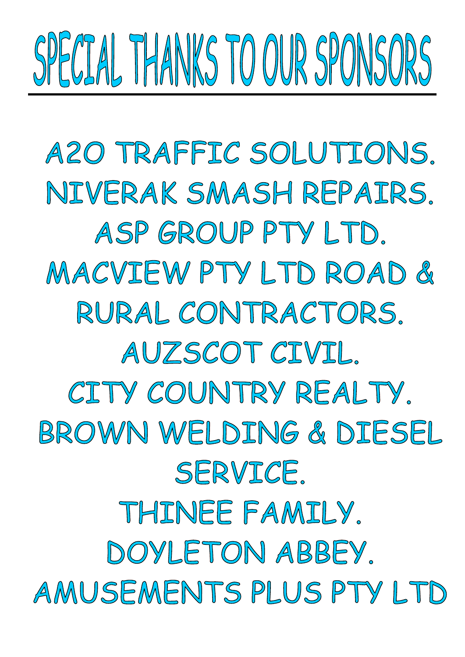# SPECIAL THANKS TO OUR SPONSORS

A20 TRAFFIC SOLUTIONS. NIVERAK SMASH REPAIRS. ASP GROUP PTY LTD. MACVIEW PTY LTD ROAD & RURAL CONTRACTORS. AUZSCOT CIVIL. CITY COUNTRY REALTY. BROWN WELDING & DIESEL SERVICE. THINEE FAMILY. DOYLETON ABBEY. AMUSEMENTS PLUS PTY LTD